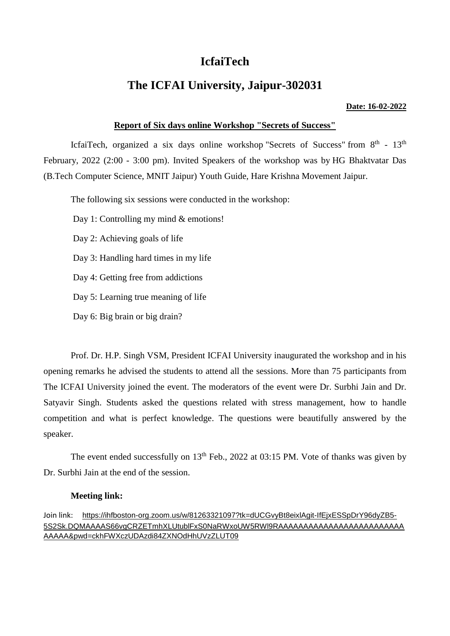# **IcfaiTech**

## **The ICFAI University, Jaipur-302031**

#### **Date: 16-02-2022**

## **Report of Six days online Workshop "Secrets of Success"**

IcfaiTech, organized a six days online workshop "Secrets of Success" from  $8<sup>th</sup>$  -  $13<sup>th</sup>$ February, 2022 (2:00 - 3:00 pm). Invited Speakers of the workshop was by HG Bhaktvatar Das (B.Tech Computer Science, MNIT Jaipur) Youth Guide, Hare Krishna Movement Jaipur.

The following six sessions were conducted in the workshop:

Day 1: Controlling my mind & emotions!

Day 2: Achieving goals of life

Day 3: Handling hard times in my life

Day 4: Getting free from addictions

Day 5: Learning true meaning of life

Day 6: Big brain or big drain?

Prof. Dr. H.P. Singh VSM, President ICFAI University inaugurated the workshop and in his opening remarks he advised the students to attend all the sessions. More than 75 participants from The ICFAI University joined the event. The moderators of the event were Dr. Surbhi Jain and Dr. Satyavir Singh. Students asked the questions related with stress management, how to handle competition and what is perfect knowledge. The questions were beautifully answered by the speaker.

The event ended successfully on  $13<sup>th</sup>$  Feb., 2022 at 03:15 PM. Vote of thanks was given by Dr. Surbhi Jain at the end of the session.

### **Meeting link:**

Join link: [https://ihfboston-org.zoom.us/w/81263321097?tk=dUCGvyBt8eixlAgit-IfEjxESSpDrY96dyZB5-](https://ihfboston-org.zoom.us/w/81263321097?tk=dUCGvyBt8eixlAgit-IfEjxESSpDrY96dyZB5-5S2Sk.DQMAAAAS66vgCRZETmhXLUtublFxS0NaRWxoUW5RWl9RAAAAAAAAAAAAAAAAAAAAAAAAAAAAAA&pwd=ckhFWXczUDAzdi84ZXNOdHhUVzZLUT09) [5S2Sk.DQMAAAAS66vgCRZETmhXLUtublFxS0NaRWxoUW5RWl9RAAAAAAAAAAAAAAAAAAAAAAAAA](https://ihfboston-org.zoom.us/w/81263321097?tk=dUCGvyBt8eixlAgit-IfEjxESSpDrY96dyZB5-5S2Sk.DQMAAAAS66vgCRZETmhXLUtublFxS0NaRWxoUW5RWl9RAAAAAAAAAAAAAAAAAAAAAAAAAAAAAA&pwd=ckhFWXczUDAzdi84ZXNOdHhUVzZLUT09) [AAAAA&pwd=ckhFWXczUDAzdi84ZXNOdHhUVzZLUT09](https://ihfboston-org.zoom.us/w/81263321097?tk=dUCGvyBt8eixlAgit-IfEjxESSpDrY96dyZB5-5S2Sk.DQMAAAAS66vgCRZETmhXLUtublFxS0NaRWxoUW5RWl9RAAAAAAAAAAAAAAAAAAAAAAAAAAAAAA&pwd=ckhFWXczUDAzdi84ZXNOdHhUVzZLUT09)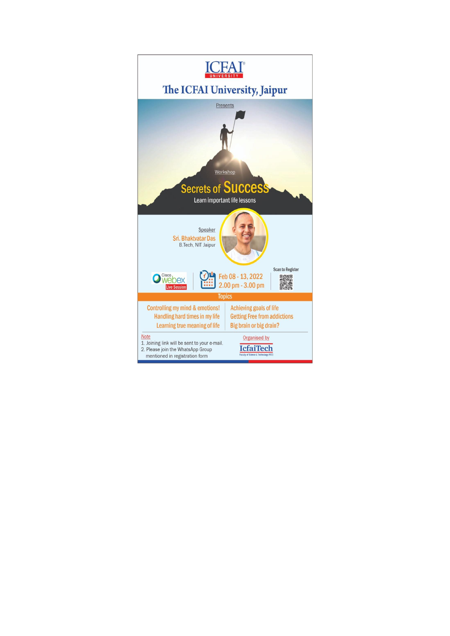